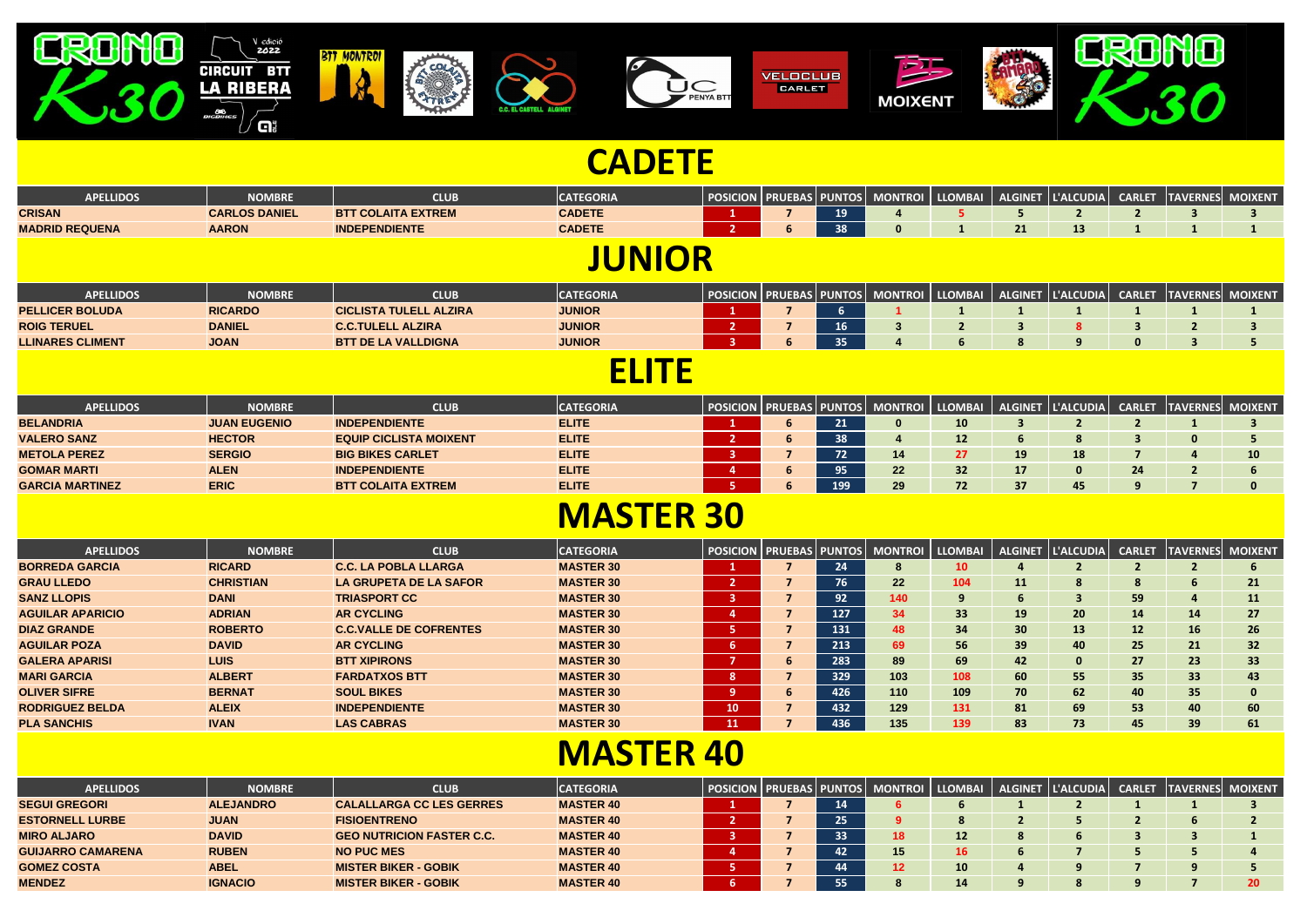| <b>APELLIDOS</b>        | NOMBRE         | CLUE                          | <b>ATEGORIA</b> |  | PRUEBAS PUNTOS | MONTROI | <b>LLOMBAI</b> | ALGINET  L'ALCUDIA  CARLET |  | <b>TAVERNES MOIXENT</b> |
|-------------------------|----------------|-------------------------------|-----------------|--|----------------|---------|----------------|----------------------------|--|-------------------------|
| <b>PELLICER BOLUDA</b>  | <b>RICARDO</b> | <b>CICLISTA TULELL ALZIRA</b> | <b>JUNIOR</b>   |  |                |         |                |                            |  |                         |
| <b>ROIG TERUEL</b>      | <b>DANIEL</b>  | <b>C.C.TULELL ALZIRA</b>      | <b>JUNIOR</b>   |  |                |         |                |                            |  |                         |
| <b>LLINARES CLIMENT</b> | <b>JOAN</b>    | <b>BTT DE LA VALLDIGNA</b>    | <b>JUNIOR</b>   |  |                |         |                |                            |  |                         |

| <b>APELLIDOS</b>       | <b>NOMBRE</b>       | <b>CLUB</b>                   | <b>CATEGORIA</b> | <b>POSICION   PRUEBAS  </b> |  | PUNTOS  MONTROI   LLOMBAI   ALGINET   L'ALCUDIA |    |    | <b>CARLET</b> | <b>TAVERNES MOIXENT</b> |  |
|------------------------|---------------------|-------------------------------|------------------|-----------------------------|--|-------------------------------------------------|----|----|---------------|-------------------------|--|
| <b>BELANDRIA</b>       | <b>JUAN EUGENIO</b> | <b>INDEPENDIENTE</b>          | <b>ELITE</b>     |                             |  |                                                 | 10 |    |               |                         |  |
| <b>VALERO SANZ</b>     | <b>HECTOR</b>       | <b>EQUIP CICLISTA MOIXENT</b> | <b>ELITE</b>     |                             |  |                                                 | 12 |    |               |                         |  |
| <b>METOLA PEREZ</b>    | <b>SERGIO</b>       | <b>BIG BIKES CARLET</b>       | <b>ELITE</b>     |                             |  |                                                 |    | 18 |               |                         |  |
| <b>GOMAR MARTI</b>     | <b>ALEN</b>         | <b>INDEPENDIENTE</b>          | <b>ELITE</b>     |                             |  | 22                                              | 32 |    | 24            |                         |  |
| <b>GARCIA MARTINEZ</b> | <b>ERIC</b>         | <b>BTT COLAITA EXTREM</b>     | <b>ELITE</b>     |                             |  | 29                                              | 72 | 45 |               |                         |  |

| <b>APELLIDOS</b>      | <b>NOMBRE</b>        | <b>CLUB</b>               | <b>CATEGORIA</b> |  |  |   | POSICION PRUEBAS PUNTOS MONTROI LLOMBAI |  |    |                       |  | ALGINET L'ALCUDIA CARLET TAVERNES MOIXENT |  |
|-----------------------|----------------------|---------------------------|------------------|--|--|---|-----------------------------------------|--|----|-----------------------|--|-------------------------------------------|--|
| <b>CRISAN</b>         | <b>CARLOS DANIEL</b> | <b>BTT COLAITA EXTREM</b> | <b>CADETE</b>    |  |  | ∸ |                                         |  |    |                       |  |                                           |  |
| <b>MADRID REQUENA</b> | <b>AARON</b>         | <b>INDEPENDIENTE</b>      | <b>CADETE</b>    |  |  |   |                                         |  | 21 | 12 <sub>1</sub><br>-- |  |                                           |  |
| <b>JNIOR</b>          |                      |                           |                  |  |  |   |                                         |  |    |                       |  |                                           |  |

| <b>APELLIDOS</b>        | <b>NOMBRE</b>    | <b>CLUB</b>                   | <b>CATEGORIA</b> |             |   |                 |     |     |                 | $ $ L'ALCUDIA $ $ | <b>CARLET</b> |    | <b>TAVERNES MOIXENT</b> |
|-------------------------|------------------|-------------------------------|------------------|-------------|---|-----------------|-----|-----|-----------------|-------------------|---------------|----|-------------------------|
| <b>BORREDA GARCIA</b>   | <b>RICARD</b>    | <b>C.C. LA POBLA LLARGA</b>   | <b>MASTER 30</b> |             |   | 24              |     | 10  |                 |                   |               |    |                         |
| <b>GRAU LLEDO</b>       | <b>CHRISTIAN</b> | LA GRUPETA DE LA SAFOR        | <b>MASTER 30</b> |             |   | 76 <sup>1</sup> | 22  | 104 | 11              | $\bullet$         | 8             | 6  | 21                      |
| <b>SANZ LLOPIS</b>      | <b>DANI</b>      | <b>TRIASPORT CC</b>           | <b>MASTER 30</b> |             |   | 92              | 140 |     | 6               |                   | 59            | 4  | 11                      |
| <b>AGUILAR APARICIO</b> | <b>ADRIAN</b>    | <b>AR CYCLING</b>             | <b>MASTER 30</b> |             |   | 127             | 34  | 33  | 19              | 20 <sub>2</sub>   | 14            | 14 | 27                      |
| <b>DIAZ GRANDE</b>      | <b>ROBERTO</b>   | <b>C.C.VALLE DE COFRENTES</b> | <b>MASTER 30</b> |             |   | 131             | 48  | 34  | 30 <sub>2</sub> | 13                | 12            | 16 | 26                      |
| <b>AGUILAR POZA</b>     | <b>DAVID</b>     | <b>AR CYCLING</b>             | <b>MASTER 30</b> | $\mathbf b$ |   | 213             | 69  | 56  | 39              | 40                | 25            | 21 | 32 <sub>2</sub>         |
| <b>GALERA APARISI</b>   | <b>LUIS</b>      | <b>BTT XIPIRONS</b>           | <b>MASTER 30</b> |             | 6 | 283             | 89  | 69  | 42              | 0                 | 27            | 23 | 33 <sup>2</sup>         |
| <b>MARI GARCIA</b>      | <b>ALBERT</b>    | <b>FARDATXOS BTT</b>          | <b>MASTER 30</b> | -8          |   | 329             | 103 | 108 | 60              | 55                | 35            | 33 | 43                      |
| <b>OLIVER SIFRE</b>     | <b>BERNAT</b>    | <b>SOUL BIKES</b>             | <b>MASTER 30</b> | -9          | 6 | 426             | 110 | 109 | 70              | 62                | 40            | 35 | 0                       |
| <b>RODRIGUEZ BELDA</b>  | <b>ALEIX</b>     | <b>INDEPENDIENTE</b>          | <b>MASTER 30</b> | <b>10</b>   |   | 432             | 129 | 131 | 81              | 69                | 53            | 40 | 60                      |
| <b>PLA SANCHIS</b>      | <b>IVAN</b>      | <b>LAS CABRAS</b>             | <b>MASTER 30</b> | <b>11</b>   |   | 436             | 135 | 139 | 83              | 73                | 45            | 39 | 61                      |

| <b>APELLIDOS</b>         | <b>NOMBRE</b>    | <b>CLUB</b>                      | <b>CATEGORIA</b> |  |    | POSICION   PRUEBAS   PUNTOS   MONTROI   LLOMBAI   ALGINET   L'ALCUDIA   CARLET |           |  |  | <b>TAVERNES MOIXENT</b> |
|--------------------------|------------------|----------------------------------|------------------|--|----|--------------------------------------------------------------------------------|-----------|--|--|-------------------------|
| <b>SEGUI GREGORI</b>     | <b>ALEJANDRO</b> | <b>CALALLARGA CC LES GERRES</b>  | <b>MASTER 40</b> |  | 14 |                                                                                |           |  |  |                         |
| <b>ESTORNELL LURBE</b>   | <b>JUAN</b>      | <b>FISIOENTRENO</b>              | <b>MASTER 40</b> |  |    |                                                                                |           |  |  |                         |
| <b>MIRO ALJARO</b>       | <b>DAVID</b>     | <b>GEO NUTRICION FASTER C.C.</b> | <b>MASTER 40</b> |  |    | 18                                                                             | <b>12</b> |  |  |                         |
| <b>GUIJARRO CAMARENA</b> | <b>RUBEN</b>     | <b>NO PUC MES</b>                | <b>MASTER 40</b> |  |    | 15                                                                             | 16        |  |  |                         |
| <b>GOMEZ COSTA</b>       | <b>ABEL</b>      | <b>MISTER BIKER - GOBIK</b>      | <b>MASTER 40</b> |  |    |                                                                                | <b>10</b> |  |  |                         |
| <b>MENDEZ</b>            | <b>IGNACIO</b>   | <b>MISTER BIKER - GOBIK</b>      | <b>MASTER 40</b> |  | 55 |                                                                                | 14        |  |  |                         |

#### **ELITE**

#### **MASTER 40**

## **MASTER 30**



### **CADETE**